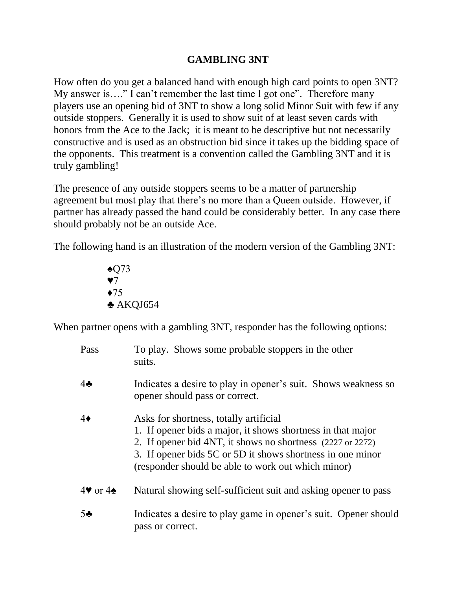## **GAMBLING 3NT**

How often do you get a balanced hand with enough high card points to open 3NT? My answer is…." I can't remember the last time I got one". Therefore many players use an opening bid of 3NT to show a long solid Minor Suit with few if any outside stoppers. Generally it is used to show suit of at least seven cards with honors from the Ace to the Jack; it is meant to be descriptive but not necessarily constructive and is used as an obstruction bid since it takes up the bidding space of the opponents. This treatment is a convention called the Gambling 3NT and it is truly gambling!

The presence of any outside stoppers seems to be a matter of partnership agreement but most play that there's no more than a Queen outside. However, if partner has already passed the hand could be considerably better. In any case there should probably not be an outside Ace.

The following hand is an illustration of the modern version of the Gambling 3NT:

♠Q73 ♥7 ♦75 ♣ AKQJ654

When partner opens with a gambling 3NT, responder has the following options:

| Pass                     | To play. Shows some probable stoppers in the other<br>suits.                                                                                                                                                                                                                            |
|--------------------------|-----------------------------------------------------------------------------------------------------------------------------------------------------------------------------------------------------------------------------------------------------------------------------------------|
| $4\clubsuit$             | Indicates a desire to play in opener's suit. Shows weakness so<br>opener should pass or correct.                                                                                                                                                                                        |
| $4\bullet$               | Asks for shortness, totally artificial<br>1. If opener bids a major, it shows shortness in that major<br>2. If opener bid 4NT, it shows no shortness (2227 or 2272)<br>3. If opener bids 5C or 5D it shows shortness in one minor<br>(responder should be able to work out which minor) |
| $4\bullet$ or $4\bullet$ | Natural showing self-sufficient suit and asking opener to pass                                                                                                                                                                                                                          |
| 5 <sub>2</sub>           | Indicates a desire to play game in opener's suit. Opener should<br>pass or correct.                                                                                                                                                                                                     |